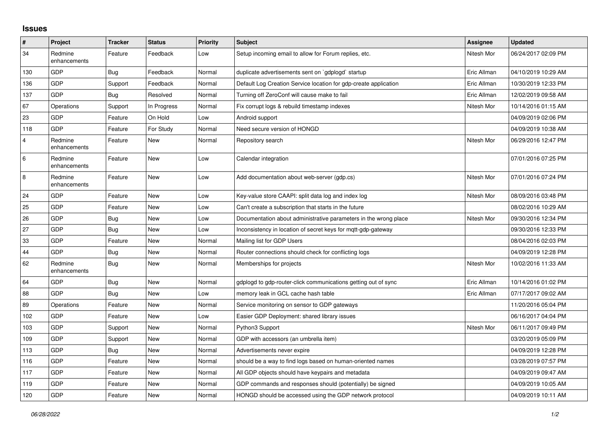## **Issues**

| $\vert$ #      | Project                 | <b>Tracker</b> | <b>Status</b> | <b>Priority</b> | <b>Subject</b>                                                   | Assignee    | <b>Updated</b>      |
|----------------|-------------------------|----------------|---------------|-----------------|------------------------------------------------------------------|-------------|---------------------|
| 34             | Redmine<br>enhancements | Feature        | Feedback      | Low             | Setup incoming email to allow for Forum replies, etc.            | Nitesh Mor  | 06/24/2017 02:09 PM |
| 130            | GDP                     | Bug            | Feedback      | Normal          | duplicate advertisements sent on `gdplogd` startup               | Eric Allman | 04/10/2019 10:29 AM |
| 136            | GDP                     | Support        | Feedback      | Normal          | Default Log Creation Service location for gdp-create application | Eric Allman | 10/30/2019 12:33 PM |
| 137            | <b>GDP</b>              | Bug            | Resolved      | Normal          | Turning off ZeroConf will cause make to fail                     | Eric Allman | 12/02/2019 09:58 AM |
| 67             | Operations              | Support        | In Progress   | Normal          | Fix corrupt logs & rebuild timestamp indexes                     | Nitesh Mor  | 10/14/2016 01:15 AM |
| 23             | GDP                     | Feature        | On Hold       | Low             | Android support                                                  |             | 04/09/2019 02:06 PM |
| 118            | GDP                     | Feature        | For Study     | Normal          | Need secure version of HONGD                                     |             | 04/09/2019 10:38 AM |
| $\overline{4}$ | Redmine<br>enhancements | Feature        | <b>New</b>    | Normal          | Repository search                                                | Nitesh Mor  | 06/29/2016 12:47 PM |
| 6              | Redmine<br>enhancements | Feature        | <b>New</b>    | Low             | Calendar integration                                             |             | 07/01/2016 07:25 PM |
| $\,8\,$        | Redmine<br>enhancements | Feature        | <b>New</b>    | Low             | Add documentation about web-server (gdp.cs)                      | Nitesh Mor  | 07/01/2016 07:24 PM |
| 24             | GDP                     | Feature        | <b>New</b>    | Low             | Key-value store CAAPI: split data log and index log              | Nitesh Mor  | 08/09/2016 03:48 PM |
| 25             | GDP                     | Feature        | <b>New</b>    | Low             | Can't create a subscription that starts in the future            |             | 08/02/2016 10:29 AM |
| 26             | GDP                     | Bug            | New           | Low             | Documentation about administrative parameters in the wrong place | Nitesh Mor  | 09/30/2016 12:34 PM |
| 27             | <b>GDP</b>              | <b>Bug</b>     | <b>New</b>    | Low             | Inconsistency in location of secret keys for mgtt-gdp-gateway    |             | 09/30/2016 12:33 PM |
| 33             | GDP                     | Feature        | <b>New</b>    | Normal          | Mailing list for GDP Users                                       |             | 08/04/2016 02:03 PM |
| 44             | <b>GDP</b>              | Bug            | <b>New</b>    | Normal          | Router connections should check for conflicting logs             |             | 04/09/2019 12:28 PM |
| 62             | Redmine<br>enhancements | <b>Bug</b>     | <b>New</b>    | Normal          | Memberships for projects                                         | Nitesh Mor  | 10/02/2016 11:33 AM |
| 64             | GDP                     | Bug            | <b>New</b>    | Normal          | gdplogd to gdp-router-click communications getting out of sync   | Eric Allman | 10/14/2016 01:02 PM |
| 88             | GDP                     | Bug            | New           | Low             | memory leak in GCL cache hash table                              | Eric Allman | 07/17/2017 09:02 AM |
| 89             | Operations              | Feature        | <b>New</b>    | Normal          | Service monitoring on sensor to GDP gateways                     |             | 11/20/2016 05:04 PM |
| 102            | GDP                     | Feature        | <b>New</b>    | Low             | Easier GDP Deployment: shared library issues                     |             | 06/16/2017 04:04 PM |
| 103            | <b>GDP</b>              | Support        | <b>New</b>    | Normal          | Python3 Support                                                  | Nitesh Mor  | 06/11/2017 09:49 PM |
| 109            | <b>GDP</b>              | Support        | <b>New</b>    | Normal          | GDP with accessors (an umbrella item)                            |             | 03/20/2019 05:09 PM |
| 113            | GDP                     | <b>Bug</b>     | <b>New</b>    | Normal          | Advertisements never expire                                      |             | 04/09/2019 12:28 PM |
| 116            | <b>GDP</b>              | Feature        | New           | Normal          | should be a way to find logs based on human-oriented names       |             | 03/28/2019 07:57 PM |
| 117            | <b>GDP</b>              | Feature        | <b>New</b>    | Normal          | All GDP objects should have keypairs and metadata                |             | 04/09/2019 09:47 AM |
| 119            | GDP                     | Feature        | <b>New</b>    | Normal          | GDP commands and responses should (potentially) be signed        |             | 04/09/2019 10:05 AM |
| 120            | GDP                     | Feature        | <b>New</b>    | Normal          | HONGD should be accessed using the GDP network protocol          |             | 04/09/2019 10:11 AM |